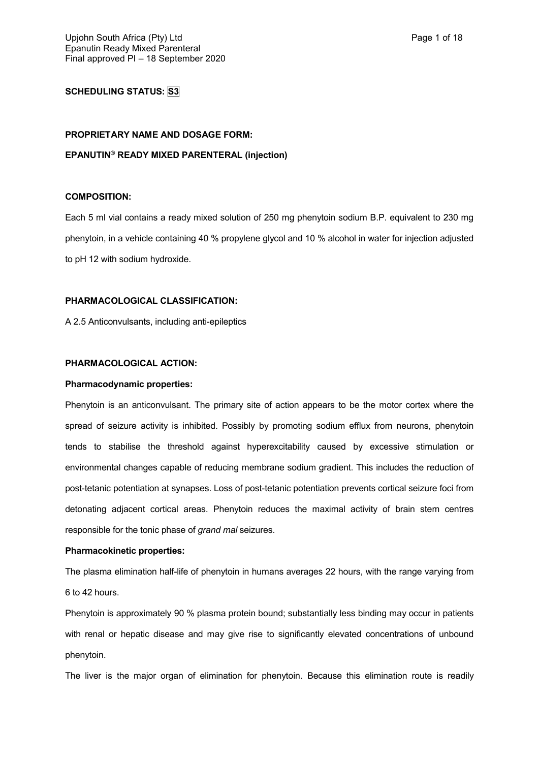# **SCHEDULING STATUS: S3**

# **PROPRIETARY NAME AND DOSAGE FORM:**

## **EPANUTIN® READY MIXED PARENTERAL (injection)**

## **COMPOSITION:**

Each 5 ml vial contains a ready mixed solution of 250 mg phenytoin sodium B.P. equivalent to 230 mg phenytoin, in a vehicle containing 40 % propylene glycol and 10 % alcohol in water for injection adjusted to pH 12 with sodium hydroxide.

## **PHARMACOLOGICAL CLASSIFICATION:**

A 2.5 Anticonvulsants, including anti-epileptics

## **PHARMACOLOGICAL ACTION:**

#### **Pharmacodynamic properties:**

Phenytoin is an anticonvulsant. The primary site of action appears to be the motor cortex where the spread of seizure activity is inhibited. Possibly by promoting sodium efflux from neurons, phenytoin tends to stabilise the threshold against hyperexcitability caused by excessive stimulation or environmental changes capable of reducing membrane sodium gradient. This includes the reduction of post-tetanic potentiation at synapses. Loss of post-tetanic potentiation prevents cortical seizure foci from detonating adjacent cortical areas. Phenytoin reduces the maximal activity of brain stem centres responsible for the tonic phase of *grand mal* seizures.

### **Pharmacokinetic properties:**

The plasma elimination half-life of phenytoin in humans averages 22 hours, with the range varying from 6 to 42 hours.

Phenytoin is approximately 90 % plasma protein bound; substantially less binding may occur in patients with renal or hepatic disease and may give rise to significantly elevated concentrations of unbound phenytoin.

The liver is the major organ of elimination for phenytoin. Because this elimination route is readily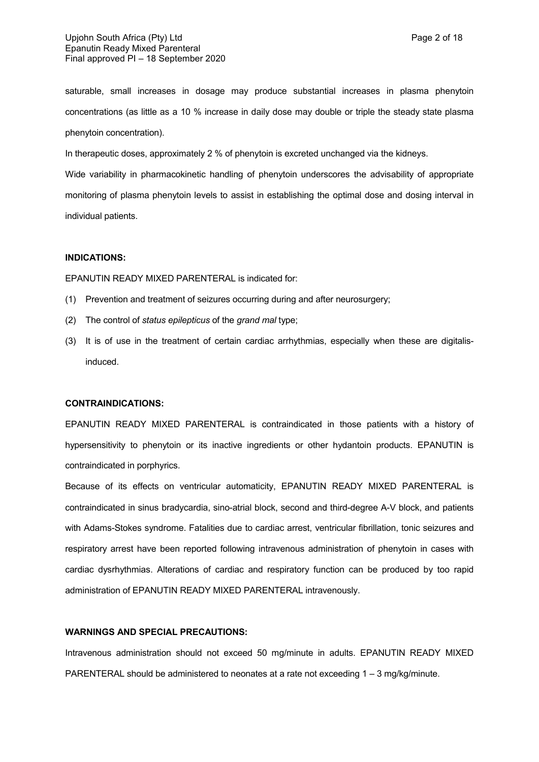saturable, small increases in dosage may produce substantial increases in plasma phenytoin concentrations (as little as a 10 % increase in daily dose may double or triple the steady state plasma phenytoin concentration).

In therapeutic doses, approximately 2 % of phenytoin is excreted unchanged via the kidneys.

Wide variability in pharmacokinetic handling of phenytoin underscores the advisability of appropriate monitoring of plasma phenytoin levels to assist in establishing the optimal dose and dosing interval in individual patients.

## **INDICATIONS:**

EPANUTIN READY MIXED PARENTERAL is indicated for:

- (1) Prevention and treatment of seizures occurring during and after neurosurgery;
- (2) The control of *status epilepticus* of the *grand mal* type;
- (3) It is of use in the treatment of certain cardiac arrhythmias, especially when these are digitalisinduced.

#### **CONTRAINDICATIONS:**

EPANUTIN READY MIXED PARENTERAL is contraindicated in those patients with a history of hypersensitivity to phenytoin or its inactive ingredients or other hydantoin products. EPANUTIN is contraindicated in porphyrics.

Because of its effects on ventricular automaticity, EPANUTIN READY MIXED PARENTERAL is contraindicated in sinus bradycardia, sino-atrial block, second and third-degree A-V block, and patients with Adams-Stokes syndrome. Fatalities due to cardiac arrest, ventricular fibrillation, tonic seizures and respiratory arrest have been reported following intravenous administration of phenytoin in cases with cardiac dysrhythmias. Alterations of cardiac and respiratory function can be produced by too rapid administration of EPANUTIN READY MIXED PARENTERAL intravenously.

#### **WARNINGS AND SPECIAL PRECAUTIONS:**

Intravenous administration should not exceed 50 mg/minute in adults. EPANUTIN READY MIXED PARENTERAL should be administered to neonates at a rate not exceeding 1 – 3 mg/kg/minute.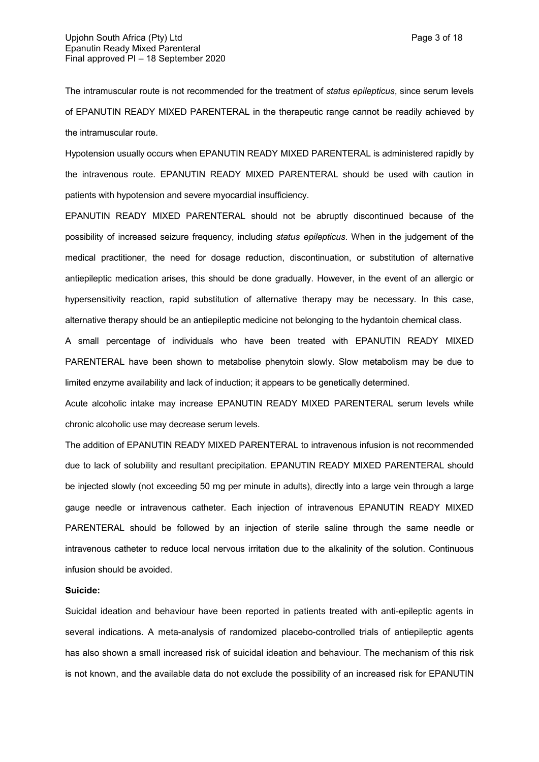The intramuscular route is not recommended for the treatment of *status epilepticus*, since serum levels of EPANUTIN READY MIXED PARENTERAL in the therapeutic range cannot be readily achieved by the intramuscular route.

Hypotension usually occurs when EPANUTIN READY MIXED PARENTERAL is administered rapidly by the intravenous route. EPANUTIN READY MIXED PARENTERAL should be used with caution in patients with hypotension and severe myocardial insufficiency.

EPANUTIN READY MIXED PARENTERAL should not be abruptly discontinued because of the possibility of increased seizure frequency, including *status epilepticus*. When in the judgement of the medical practitioner, the need for dosage reduction, discontinuation, or substitution of alternative antiepileptic medication arises, this should be done gradually. However, in the event of an allergic or hypersensitivity reaction, rapid substitution of alternative therapy may be necessary. In this case, alternative therapy should be an antiepileptic medicine not belonging to the hydantoin chemical class.

A small percentage of individuals who have been treated with EPANUTIN READY MIXED PARENTERAL have been shown to metabolise phenytoin slowly. Slow metabolism may be due to limited enzyme availability and lack of induction; it appears to be genetically determined.

Acute alcoholic intake may increase EPANUTIN READY MIXED PARENTERAL serum levels while chronic alcoholic use may decrease serum levels.

The addition of EPANUTIN READY MIXED PARENTERAL to intravenous infusion is not recommended due to lack of solubility and resultant precipitation. EPANUTIN READY MIXED PARENTERAL should be injected slowly (not exceeding 50 mg per minute in adults), directly into a large vein through a large gauge needle or intravenous catheter. Each injection of intravenous EPANUTIN READY MIXED PARENTERAL should be followed by an injection of sterile saline through the same needle or intravenous catheter to reduce local nervous irritation due to the alkalinity of the solution. Continuous infusion should be avoided.

#### **Suicide:**

Suicidal ideation and behaviour have been reported in patients treated with anti-epileptic agents in several indications. A meta-analysis of randomized placebo-controlled trials of antiepileptic agents has also shown a small increased risk of suicidal ideation and behaviour. The mechanism of this risk is not known, and the available data do not exclude the possibility of an increased risk for EPANUTIN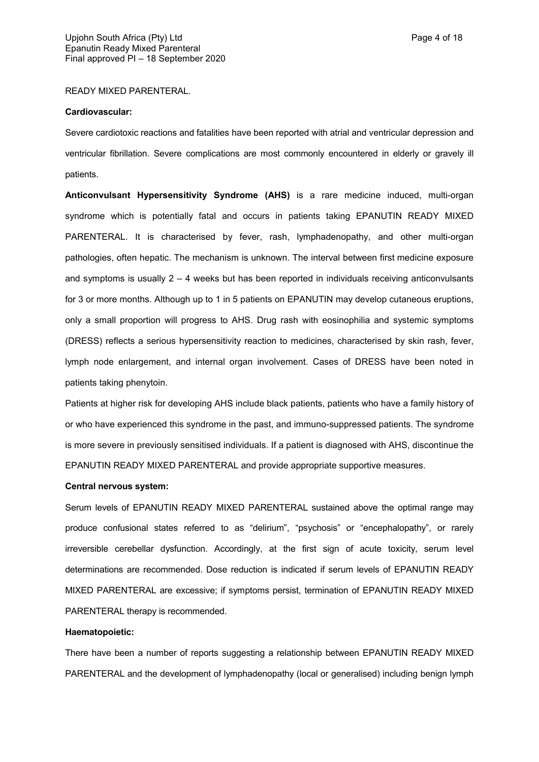# READY MIXED PARENTERAL.

#### **Cardiovascular:**

Severe cardiotoxic reactions and fatalities have been reported with atrial and ventricular depression and ventricular fibrillation. Severe complications are most commonly encountered in elderly or gravely ill patients.

**Anticonvulsant Hypersensitivity Syndrome (AHS)** is a rare medicine induced, multi-organ syndrome which is potentially fatal and occurs in patients taking EPANUTIN READY MIXED PARENTERAL. It is characterised by fever, rash, lymphadenopathy, and other multi-organ pathologies, often hepatic. The mechanism is unknown. The interval between first medicine exposure and symptoms is usually 2 – 4 weeks but has been reported in individuals receiving anticonvulsants for 3 or more months. Although up to 1 in 5 patients on EPANUTIN may develop cutaneous eruptions, only a small proportion will progress to AHS. Drug rash with eosinophilia and systemic symptoms (DRESS) reflects a serious hypersensitivity reaction to medicines, characterised by skin rash, fever, lymph node enlargement, and internal organ involvement. Cases of DRESS have been noted in patients taking phenytoin.

Patients at higher risk for developing AHS include black patients, patients who have a family history of or who have experienced this syndrome in the past, and immuno-suppressed patients. The syndrome is more severe in previously sensitised individuals. If a patient is diagnosed with AHS, discontinue the EPANUTIN READY MIXED PARENTERAL and provide appropriate supportive measures.

#### **Central nervous system:**

Serum levels of EPANUTIN READY MIXED PARENTERAL sustained above the optimal range may produce confusional states referred to as "delirium", "psychosis" or "encephalopathy", or rarely irreversible cerebellar dysfunction. Accordingly, at the first sign of acute toxicity, serum level determinations are recommended. Dose reduction is indicated if serum levels of EPANUTIN READY MIXED PARENTERAL are excessive; if symptoms persist, termination of EPANUTIN READY MIXED PARENTERAL therapy is recommended.

## **Haematopoietic:**

There have been a number of reports suggesting a relationship between EPANUTIN READY MIXED PARENTERAL and the development of lymphadenopathy (local or generalised) including benign lymph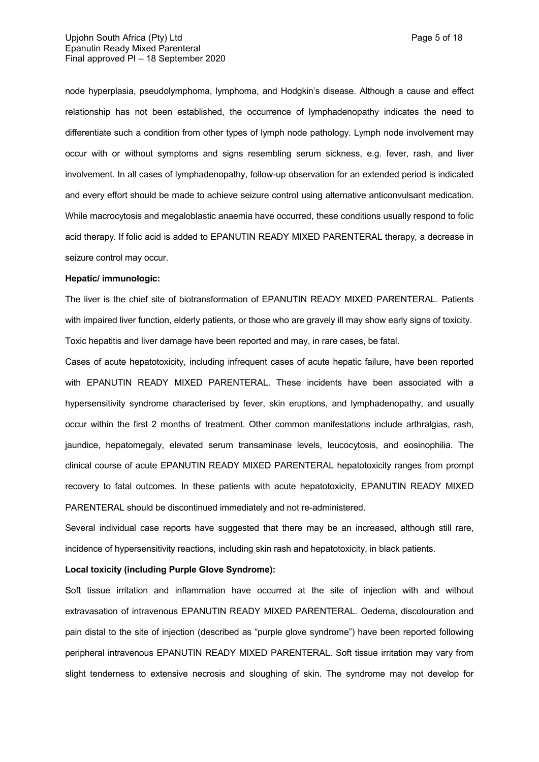node hyperplasia, pseudolymphoma, lymphoma, and Hodgkin's disease. Although a cause and effect relationship has not been established, the occurrence of lymphadenopathy indicates the need to differentiate such a condition from other types of lymph node pathology. Lymph node involvement may occur with or without symptoms and signs resembling serum sickness, e.g. fever, rash, and liver involvement. In all cases of lymphadenopathy, follow-up observation for an extended period is indicated and every effort should be made to achieve seizure control using alternative anticonvulsant medication. While macrocytosis and megaloblastic anaemia have occurred, these conditions usually respond to folic acid therapy. If folic acid is added to EPANUTIN READY MIXED PARENTERAL therapy, a decrease in seizure control may occur.

#### **Hepatic/ immunologic:**

The liver is the chief site of biotransformation of EPANUTIN READY MIXED PARENTERAL. Patients with impaired liver function, elderly patients, or those who are gravely ill may show early signs of toxicity. Toxic hepatitis and liver damage have been reported and may, in rare cases, be fatal.

Cases of acute hepatotoxicity, including infrequent cases of acute hepatic failure, have been reported with EPANUTIN READY MIXED PARENTERAL. These incidents have been associated with a hypersensitivity syndrome characterised by fever, skin eruptions, and lymphadenopathy, and usually occur within the first 2 months of treatment. Other common manifestations include arthralgias, rash, jaundice, hepatomegaly, elevated serum transaminase levels, leucocytosis, and eosinophilia. The clinical course of acute EPANUTIN READY MIXED PARENTERAL hepatotoxicity ranges from prompt recovery to fatal outcomes. In these patients with acute hepatotoxicity, EPANUTIN READY MIXED PARENTERAL should be discontinued immediately and not re-administered.

Several individual case reports have suggested that there may be an increased, although still rare, incidence of hypersensitivity reactions, including skin rash and hepatotoxicity, in black patients.

#### **Local toxicity (including Purple Glove Syndrome):**

Soft tissue irritation and inflammation have occurred at the site of injection with and without extravasation of intravenous EPANUTIN READY MIXED PARENTERAL. Oedema, discolouration and pain distal to the site of injection (described as "purple glove syndrome") have been reported following peripheral intravenous EPANUTIN READY MIXED PARENTERAL. Soft tissue irritation may vary from slight tenderness to extensive necrosis and sloughing of skin. The syndrome may not develop for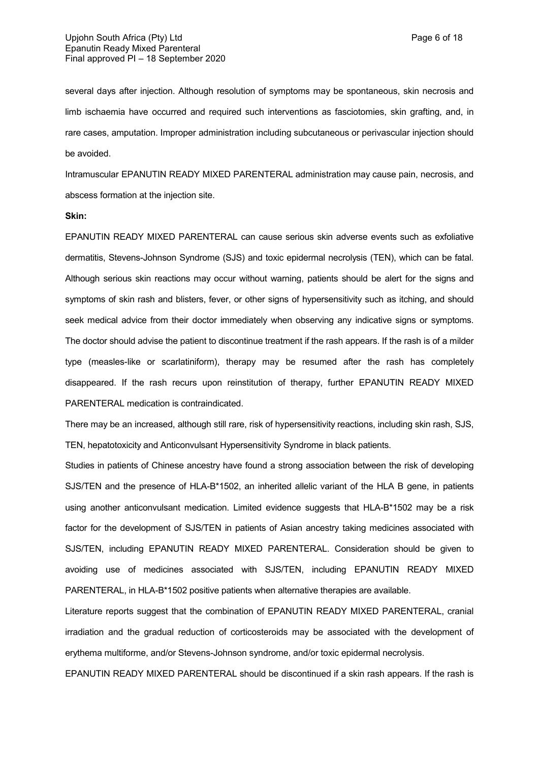several days after injection. Although resolution of symptoms may be spontaneous, skin necrosis and limb ischaemia have occurred and required such interventions as fasciotomies, skin grafting, and, in rare cases, amputation. Improper administration including subcutaneous or perivascular injection should be avoided.

Intramuscular EPANUTIN READY MIXED PARENTERAL administration may cause pain, necrosis, and abscess formation at the injection site.

### **Skin:**

EPANUTIN READY MIXED PARENTERAL can cause serious skin adverse events such as exfoliative dermatitis, Stevens-Johnson Syndrome (SJS) and toxic epidermal necrolysis (TEN), which can be fatal. Although serious skin reactions may occur without warning, patients should be alert for the signs and symptoms of skin rash and blisters, fever, or other signs of hypersensitivity such as itching, and should seek medical advice from their doctor immediately when observing any indicative signs or symptoms. The doctor should advise the patient to discontinue treatment if the rash appears. If the rash is of a milder type (measles-like or scarlatiniform), therapy may be resumed after the rash has completely disappeared. If the rash recurs upon reinstitution of therapy, further EPANUTIN READY MIXED PARENTERAL medication is contraindicated.

There may be an increased, although still rare, risk of hypersensitivity reactions, including skin rash, SJS, TEN, hepatotoxicity and Anticonvulsant Hypersensitivity Syndrome in black patients.

Studies in patients of Chinese ancestry have found a strong association between the risk of developing SJS/TEN and the presence of HLA-B\*1502, an inherited allelic variant of the HLA B gene, in patients using another anticonvulsant medication. Limited evidence suggests that HLA-B\*1502 may be a risk factor for the development of SJS/TEN in patients of Asian ancestry taking medicines associated with SJS/TEN, including EPANUTIN READY MIXED PARENTERAL. Consideration should be given to avoiding use of medicines associated with SJS/TEN, including EPANUTIN READY MIXED PARENTERAL, in HLA-B\*1502 positive patients when alternative therapies are available.

Literature reports suggest that the combination of EPANUTIN READY MIXED PARENTERAL, cranial irradiation and the gradual reduction of corticosteroids may be associated with the development of erythema multiforme, and/or Stevens-Johnson syndrome, and/or toxic epidermal necrolysis.

EPANUTIN READY MIXED PARENTERAL should be discontinued if a skin rash appears. If the rash is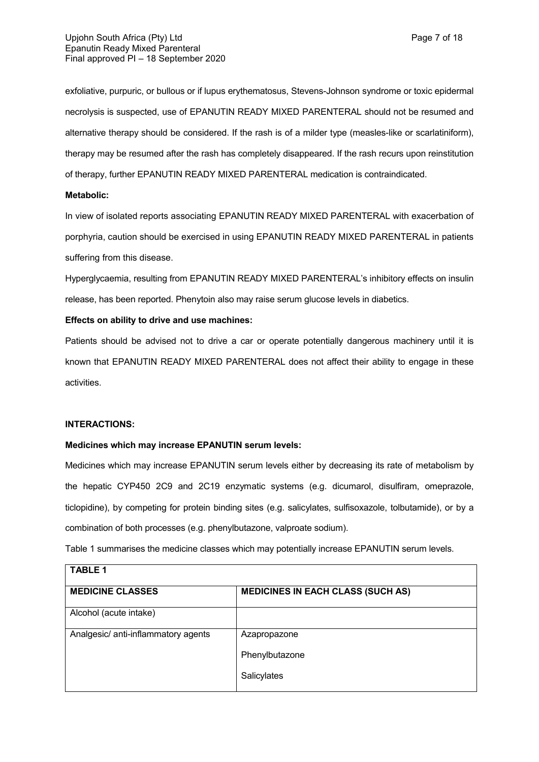exfoliative, purpuric, or bullous or if lupus erythematosus, Stevens-Johnson syndrome or toxic epidermal necrolysis is suspected, use of EPANUTIN READY MIXED PARENTERAL should not be resumed and alternative therapy should be considered. If the rash is of a milder type (measles-like or scarlatiniform), therapy may be resumed after the rash has completely disappeared. If the rash recurs upon reinstitution of therapy, further EPANUTIN READY MIXED PARENTERAL medication is contraindicated.

## **Metabolic:**

In view of isolated reports associating EPANUTIN READY MIXED PARENTERAL with exacerbation of porphyria, caution should be exercised in using EPANUTIN READY MIXED PARENTERAL in patients suffering from this disease.

Hyperglycaemia, resulting from EPANUTIN READY MIXED PARENTERAL's inhibitory effects on insulin release, has been reported. Phenytoin also may raise serum glucose levels in diabetics.

## **Effects on ability to drive and use machines:**

Patients should be advised not to drive a car or operate potentially dangerous machinery until it is known that EPANUTIN READY MIXED PARENTERAL does not affect their ability to engage in these activities.

## **INTERACTIONS:**

## **Medicines which may increase EPANUTIN serum levels:**

Medicines which may increase EPANUTIN serum levels either by decreasing its rate of metabolism by the hepatic CYP450 2C9 and 2C19 enzymatic systems (e.g. dicumarol, disulfiram, omeprazole, ticlopidine), by competing for protein binding sites (e.g. salicylates, sulfisoxazole, tolbutamide), or by a combination of both processes (e.g. phenylbutazone, valproate sodium).

Table 1 summarises the medicine classes which may potentially increase EPANUTIN serum levels.

| <b>TABLE 1</b>                      |                                          |
|-------------------------------------|------------------------------------------|
| <b>MEDICINE CLASSES</b>             | <b>MEDICINES IN EACH CLASS (SUCH AS)</b> |
| Alcohol (acute intake)              |                                          |
| Analgesic/ anti-inflammatory agents | Azapropazone                             |
|                                     | Phenylbutazone                           |
|                                     | Salicylates                              |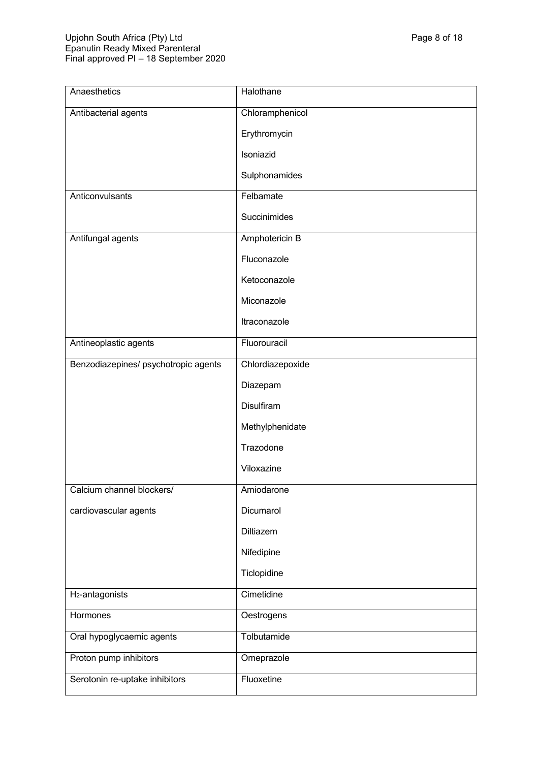| Anaesthetics                         | Halothane         |  |  |
|--------------------------------------|-------------------|--|--|
| Antibacterial agents                 | Chloramphenicol   |  |  |
|                                      | Erythromycin      |  |  |
|                                      | Isoniazid         |  |  |
|                                      | Sulphonamides     |  |  |
| Anticonvulsants                      | Felbamate         |  |  |
|                                      | Succinimides      |  |  |
| Antifungal agents                    | Amphotericin B    |  |  |
|                                      | Fluconazole       |  |  |
|                                      | Ketoconazole      |  |  |
|                                      | Miconazole        |  |  |
|                                      | Itraconazole      |  |  |
| Antineoplastic agents                | Fluorouracil      |  |  |
| Benzodiazepines/ psychotropic agents | Chlordiazepoxide  |  |  |
|                                      | Diazepam          |  |  |
|                                      | <b>Disulfiram</b> |  |  |
|                                      | Methylphenidate   |  |  |
|                                      | Trazodone         |  |  |
|                                      | Viloxazine        |  |  |
| Calcium channel blockers/            | Amiodarone        |  |  |
| cardiovascular agents                | Dicumarol         |  |  |
|                                      | Diltiazem         |  |  |
|                                      | Nifedipine        |  |  |
|                                      | Ticlopidine       |  |  |
| H <sub>2</sub> -antagonists          | Cimetidine        |  |  |
| Hormones                             | Oestrogens        |  |  |
| Oral hypoglycaemic agents            | Tolbutamide       |  |  |
| Proton pump inhibitors               | Omeprazole        |  |  |
| Serotonin re-uptake inhibitors       | Fluoxetine        |  |  |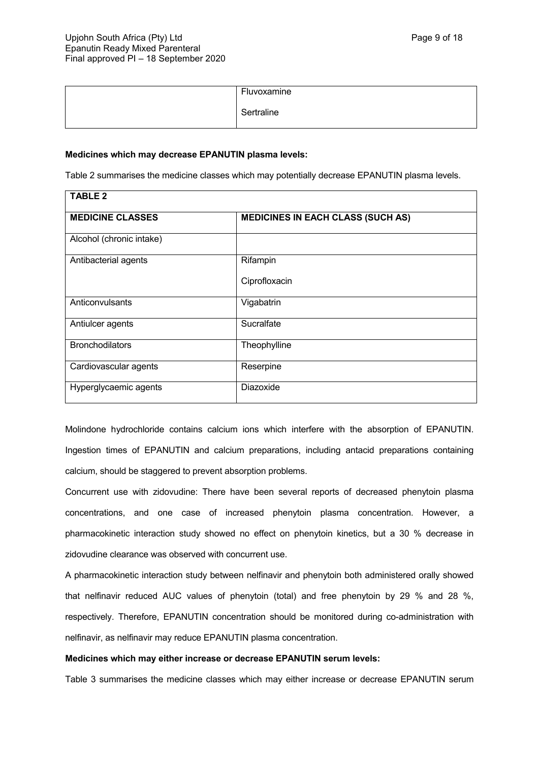| Fluvoxamine |
|-------------|
| Sertraline  |

## **Medicines which may decrease EPANUTIN plasma levels:**

Table 2 summarises the medicine classes which may potentially decrease EPANUTIN plasma levels.

| <b>TABLE 2</b>           |                                          |
|--------------------------|------------------------------------------|
| <b>MEDICINE CLASSES</b>  | <b>MEDICINES IN EACH CLASS (SUCH AS)</b> |
| Alcohol (chronic intake) |                                          |
| Antibacterial agents     | Rifampin                                 |
|                          | Ciprofloxacin                            |
| Anticonvulsants          | Vigabatrin                               |
| Antiulcer agents         | Sucralfate                               |
| <b>Bronchodilators</b>   | Theophylline                             |
| Cardiovascular agents    | Reserpine                                |
| Hyperglycaemic agents    | Diazoxide                                |

Molindone hydrochloride contains calcium ions which interfere with the absorption of EPANUTIN. Ingestion times of EPANUTIN and calcium preparations, including antacid preparations containing calcium, should be staggered to prevent absorption problems.

Concurrent use with zidovudine: There have been several reports of decreased phenytoin plasma concentrations, and one case of increased phenytoin plasma concentration. However, a pharmacokinetic interaction study showed no effect on phenytoin kinetics, but a 30 % decrease in zidovudine clearance was observed with concurrent use.

A pharmacokinetic interaction study between nelfinavir and phenytoin both administered orally showed that nelfinavir reduced AUC values of phenytoin (total) and free phenytoin by 29 % and 28 %, respectively. Therefore, EPANUTIN concentration should be monitored during co-administration with nelfinavir, as nelfinavir may reduce EPANUTIN plasma concentration.

# **Medicines which may either increase or decrease EPANUTIN serum levels:**

Table 3 summarises the medicine classes which may either increase or decrease EPANUTIN serum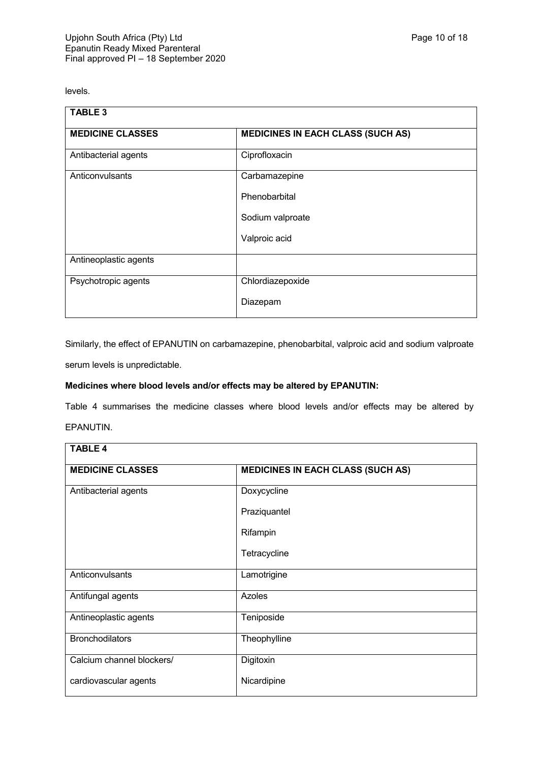levels.

| TABLE 3                 |                                          |
|-------------------------|------------------------------------------|
| <b>MEDICINE CLASSES</b> | <b>MEDICINES IN EACH CLASS (SUCH AS)</b> |
| Antibacterial agents    | Ciprofloxacin                            |
| Anticonvulsants         | Carbamazepine                            |
|                         | Phenobarbital                            |
|                         | Sodium valproate                         |
|                         | Valproic acid                            |
| Antineoplastic agents   |                                          |
| Psychotropic agents     | Chlordiazepoxide                         |
|                         | Diazepam                                 |

Similarly, the effect of EPANUTIN on carbamazepine, phenobarbital, valproic acid and sodium valproate serum levels is unpredictable.

# **Medicines where blood levels and/or effects may be altered by EPANUTIN:**

Table 4 summarises the medicine classes where blood levels and/or effects may be altered by EPANUTIN.

| <b>TABLE 4</b>            |                                          |  |
|---------------------------|------------------------------------------|--|
| <b>MEDICINE CLASSES</b>   | <b>MEDICINES IN EACH CLASS (SUCH AS)</b> |  |
| Antibacterial agents      | Doxycycline                              |  |
|                           | Praziquantel                             |  |
|                           | Rifampin                                 |  |
|                           | Tetracycline                             |  |
| Anticonvulsants           | Lamotrigine                              |  |
| Antifungal agents         | Azoles                                   |  |
| Antineoplastic agents     | Teniposide                               |  |
| <b>Bronchodilators</b>    | Theophylline                             |  |
| Calcium channel blockers/ | Digitoxin                                |  |
| cardiovascular agents     | Nicardipine                              |  |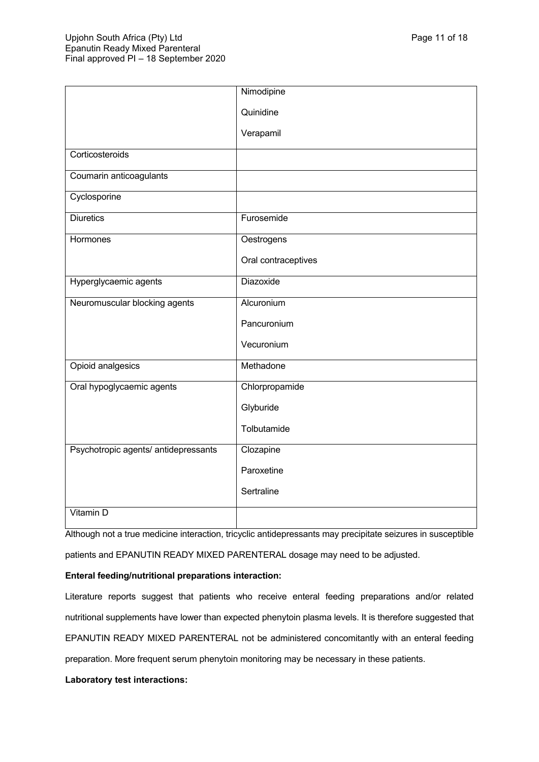|                                      | Nimodipine          |
|--------------------------------------|---------------------|
|                                      | Quinidine           |
|                                      | Verapamil           |
| Corticosteroids                      |                     |
| Coumarin anticoagulants              |                     |
| Cyclosporine                         |                     |
| <b>Diuretics</b>                     | Furosemide          |
| Hormones                             | Oestrogens          |
|                                      | Oral contraceptives |
| Hyperglycaemic agents                | <b>Diazoxide</b>    |
| Neuromuscular blocking agents        | Alcuronium          |
|                                      | Pancuronium         |
|                                      | Vecuronium          |
| Opioid analgesics                    | Methadone           |
| Oral hypoglycaemic agents            | Chlorpropamide      |
|                                      | Glyburide           |
|                                      | Tolbutamide         |
| Psychotropic agents/ antidepressants | Clozapine           |
|                                      | Paroxetine          |
|                                      | Sertraline          |
| Vitamin D                            |                     |

Although not a true medicine interaction, tricyclic antidepressants may precipitate seizures in susceptible patients and EPANUTIN READY MIXED PARENTERAL dosage may need to be adjusted.

# **Enteral feeding/nutritional preparations interaction:**

Literature reports suggest that patients who receive enteral feeding preparations and/or related nutritional supplements have lower than expected phenytoin plasma levels. It is therefore suggested that EPANUTIN READY MIXED PARENTERAL not be administered concomitantly with an enteral feeding preparation. More frequent serum phenytoin monitoring may be necessary in these patients.

# **Laboratory test interactions:**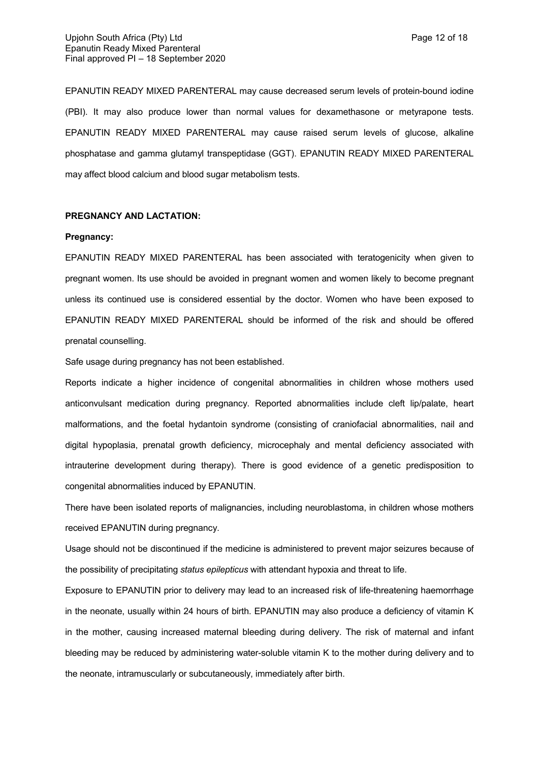EPANUTIN READY MIXED PARENTERAL may cause decreased serum levels of protein-bound iodine (PBI). It may also produce lower than normal values for dexamethasone or metyrapone tests. EPANUTIN READY MIXED PARENTERAL may cause raised serum levels of glucose, alkaline phosphatase and gamma glutamyl transpeptidase (GGT). EPANUTIN READY MIXED PARENTERAL may affect blood calcium and blood sugar metabolism tests.

# **PREGNANCY AND LACTATION:**

#### **Pregnancy:**

EPANUTIN READY MIXED PARENTERAL has been associated with teratogenicity when given to pregnant women. Its use should be avoided in pregnant women and women likely to become pregnant unless its continued use is considered essential by the doctor. Women who have been exposed to EPANUTIN READY MIXED PARENTERAL should be informed of the risk and should be offered prenatal counselling.

Safe usage during pregnancy has not been established.

Reports indicate a higher incidence of congenital abnormalities in children whose mothers used anticonvulsant medication during pregnancy. Reported abnormalities include cleft lip/palate, heart malformations, and the foetal hydantoin syndrome (consisting of craniofacial abnormalities, nail and digital hypoplasia, prenatal growth deficiency, microcephaly and mental deficiency associated with intrauterine development during therapy). There is good evidence of a genetic predisposition to congenital abnormalities induced by EPANUTIN.

There have been isolated reports of malignancies, including neuroblastoma, in children whose mothers received EPANUTIN during pregnancy.

Usage should not be discontinued if the medicine is administered to prevent major seizures because of the possibility of precipitating *status epilepticus* with attendant hypoxia and threat to life.

Exposure to EPANUTIN prior to delivery may lead to an increased risk of life-threatening haemorrhage in the neonate, usually within 24 hours of birth. EPANUTIN may also produce a deficiency of vitamin K in the mother, causing increased maternal bleeding during delivery. The risk of maternal and infant bleeding may be reduced by administering water-soluble vitamin K to the mother during delivery and to the neonate, intramuscularly or subcutaneously, immediately after birth.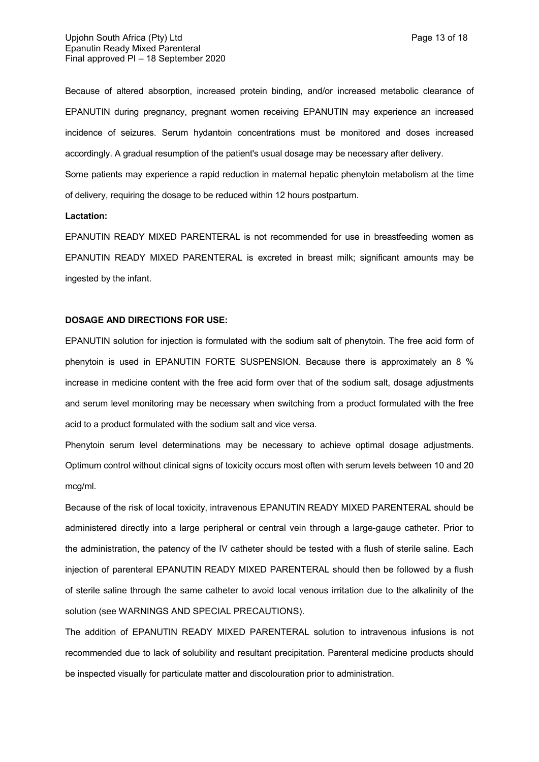Because of altered absorption, increased protein binding, and/or increased metabolic clearance of EPANUTIN during pregnancy, pregnant women receiving EPANUTIN may experience an increased incidence of seizures. Serum hydantoin concentrations must be monitored and doses increased accordingly. A gradual resumption of the patient's usual dosage may be necessary after delivery.

Some patients may experience a rapid reduction in maternal hepatic phenytoin metabolism at the time of delivery, requiring the dosage to be reduced within 12 hours postpartum.

## **Lactation:**

EPANUTIN READY MIXED PARENTERAL is not recommended for use in breastfeeding women as EPANUTIN READY MIXED PARENTERAL is excreted in breast milk; significant amounts may be ingested by the infant.

### **DOSAGE AND DIRECTIONS FOR USE:**

EPANUTIN solution for injection is formulated with the sodium salt of phenytoin. The free acid form of phenytoin is used in EPANUTIN FORTE SUSPENSION. Because there is approximately an 8 % increase in medicine content with the free acid form over that of the sodium salt, dosage adjustments and serum level monitoring may be necessary when switching from a product formulated with the free acid to a product formulated with the sodium salt and vice versa.

Phenytoin serum level determinations may be necessary to achieve optimal dosage adjustments. Optimum control without clinical signs of toxicity occurs most often with serum levels between 10 and 20 mcg/ml.

Because of the risk of local toxicity, intravenous EPANUTIN READY MIXED PARENTERAL should be administered directly into a large peripheral or central vein through a large-gauge catheter. Prior to the administration, the patency of the IV catheter should be tested with a flush of sterile saline. Each injection of parenteral EPANUTIN READY MIXED PARENTERAL should then be followed by a flush of sterile saline through the same catheter to avoid local venous irritation due to the alkalinity of the solution (see WARNINGS AND SPECIAL PRECAUTIONS).

The addition of EPANUTIN READY MIXED PARENTERAL solution to intravenous infusions is not recommended due to lack of solubility and resultant precipitation. Parenteral medicine products should be inspected visually for particulate matter and discolouration prior to administration.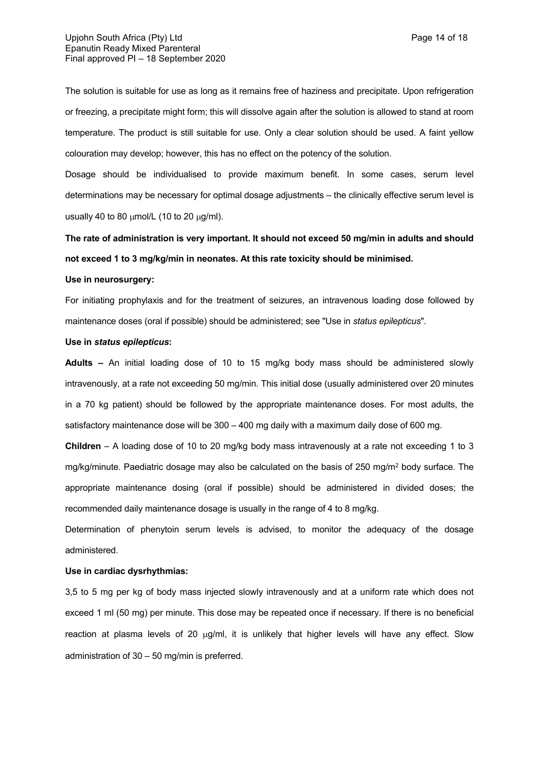The solution is suitable for use as long as it remains free of haziness and precipitate. Upon refrigeration or freezing, a precipitate might form; this will dissolve again after the solution is allowed to stand at room temperature. The product is still suitable for use. Only a clear solution should be used. A faint yellow colouration may develop; however, this has no effect on the potency of the solution.

Dosage should be individualised to provide maximum benefit. In some cases, serum level determinations may be necessary for optimal dosage adjustments – the clinically effective serum level is usually 40 to 80  $\mu$ mol/L (10 to 20  $\mu$ g/ml).

**The rate of administration is very important. It should not exceed 50 mg/min in adults and should not exceed 1 to 3 mg/kg/min in neonates. At this rate toxicity should be minimised.**

#### **Use in neurosurgery:**

For initiating prophylaxis and for the treatment of seizures, an intravenous loading dose followed by maintenance doses (oral if possible) should be administered; see "Use in *status epilepticus*".

## **Use in** *status epilepticus***:**

**Adults –** An initial loading dose of 10 to 15 mg/kg body mass should be administered slowly intravenously, at a rate not exceeding 50 mg/min. This initial dose (usually administered over 20 minutes in a 70 kg patient) should be followed by the appropriate maintenance doses. For most adults, the satisfactory maintenance dose will be 300 – 400 mg daily with a maximum daily dose of 600 mg.

**Children** – A loading dose of 10 to 20 mg/kg body mass intravenously at a rate not exceeding 1 to 3 mg/kg/minute. Paediatric dosage may also be calculated on the basis of 250 mg/m<sup>2</sup> body surface. The appropriate maintenance dosing (oral if possible) should be administered in divided doses; the recommended daily maintenance dosage is usually in the range of 4 to 8 mg/kg.

Determination of phenytoin serum levels is advised, to monitor the adequacy of the dosage administered.

## **Use in cardiac dysrhythmias:**

3,5 to 5 mg per kg of body mass injected slowly intravenously and at a uniform rate which does not exceed 1 ml (50 mg) per minute. This dose may be repeated once if necessary. If there is no beneficial reaction at plasma levels of 20  $\mu q/ml$ , it is unlikely that higher levels will have any effect. Slow administration of 30 – 50 mg/min is preferred.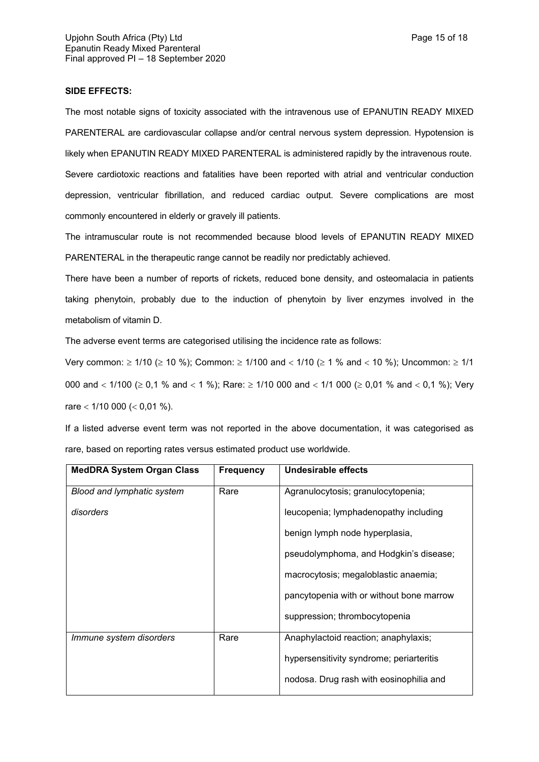### **SIDE EFFECTS:**

The most notable signs of toxicity associated with the intravenous use of EPANUTIN READY MIXED PARENTERAL are cardiovascular collapse and/or central nervous system depression. Hypotension is likely when EPANUTIN READY MIXED PARENTERAL is administered rapidly by the intravenous route. Severe cardiotoxic reactions and fatalities have been reported with atrial and ventricular conduction depression, ventricular fibrillation, and reduced cardiac output. Severe complications are most commonly encountered in elderly or gravely ill patients.

The intramuscular route is not recommended because blood levels of EPANUTIN READY MIXED PARENTERAL in the therapeutic range cannot be readily nor predictably achieved.

There have been a number of reports of rickets, reduced bone density, and osteomalacia in patients taking phenytoin, probably due to the induction of phenytoin by liver enzymes involved in the metabolism of vitamin D.

The adverse event terms are categorised utilising the incidence rate as follows:

Very common:  $\geq 1/10$  ( $\geq 10$  %); Common:  $\geq 1/100$  and  $\lt 1/10$  ( $\geq 1$  % and  $\lt 10$  %); Uncommon:  $\geq 1/1$ 000 and  $<$  1/100 ( $\ge$  0,1 % and  $<$  1 %); Rare:  $\ge$  1/10 000 and  $<$  1/1 000 ( $\ge$  0,01 % and  $<$  0,1 %); Very rare  $<$  1/10 000 ( $<$  0,01 %).

If a listed adverse event term was not reported in the above documentation, it was categorised as rare, based on reporting rates versus estimated product use worldwide.

| <b>MedDRA System Organ Class</b>  | <b>Frequency</b> | Undesirable effects                      |
|-----------------------------------|------------------|------------------------------------------|
| <b>Blood and lymphatic system</b> | Rare             | Agranulocytosis; granulocytopenia;       |
| disorders                         |                  | leucopenia; lymphadenopathy including    |
|                                   |                  | benign lymph node hyperplasia,           |
|                                   |                  | pseudolymphoma, and Hodgkin's disease;   |
|                                   |                  | macrocytosis; megaloblastic anaemia;     |
|                                   |                  | pancytopenia with or without bone marrow |
|                                   |                  | suppression; thrombocytopenia            |
| Immune system disorders           | Rare             | Anaphylactoid reaction; anaphylaxis;     |
|                                   |                  | hypersensitivity syndrome; periarteritis |
|                                   |                  | nodosa. Drug rash with eosinophilia and  |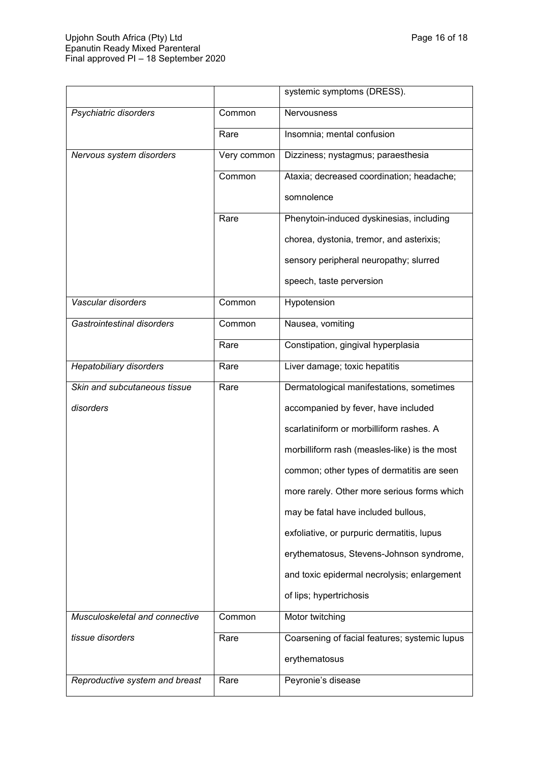|                                |             | systemic symptoms (DRESS).                    |
|--------------------------------|-------------|-----------------------------------------------|
| Psychiatric disorders          | Common      | Nervousness                                   |
|                                | Rare        | Insomnia; mental confusion                    |
| Nervous system disorders       | Very common | Dizziness; nystagmus; paraesthesia            |
|                                | Common      | Ataxia; decreased coordination; headache;     |
|                                |             | somnolence                                    |
|                                | Rare        | Phenytoin-induced dyskinesias, including      |
|                                |             | chorea, dystonia, tremor, and asterixis;      |
|                                |             | sensory peripheral neuropathy; slurred        |
|                                |             | speech, taste perversion                      |
| Vascular disorders             | Common      | Hypotension                                   |
| Gastrointestinal disorders     | Common      | Nausea, vomiting                              |
|                                | Rare        | Constipation, gingival hyperplasia            |
| <b>Hepatobiliary disorders</b> | Rare        | Liver damage; toxic hepatitis                 |
| Skin and subcutaneous tissue   | Rare        | Dermatological manifestations, sometimes      |
| disorders                      |             | accompanied by fever, have included           |
|                                |             | scarlatiniform or morbilliform rashes. A      |
|                                |             | morbilliform rash (measles-like) is the most  |
|                                |             | common; other types of dermatitis are seen    |
|                                |             | more rarely. Other more serious forms which   |
|                                |             | may be fatal have included bullous,           |
|                                |             | exfoliative, or purpuric dermatitis, lupus    |
|                                |             | erythematosus, Stevens-Johnson syndrome,      |
|                                |             | and toxic epidermal necrolysis; enlargement   |
|                                |             | of lips; hypertrichosis                       |
| Musculoskeletal and connective | Common      | Motor twitching                               |
| tissue disorders               | Rare        | Coarsening of facial features; systemic lupus |
|                                |             | erythematosus                                 |
| Reproductive system and breast | Rare        | Peyronie's disease                            |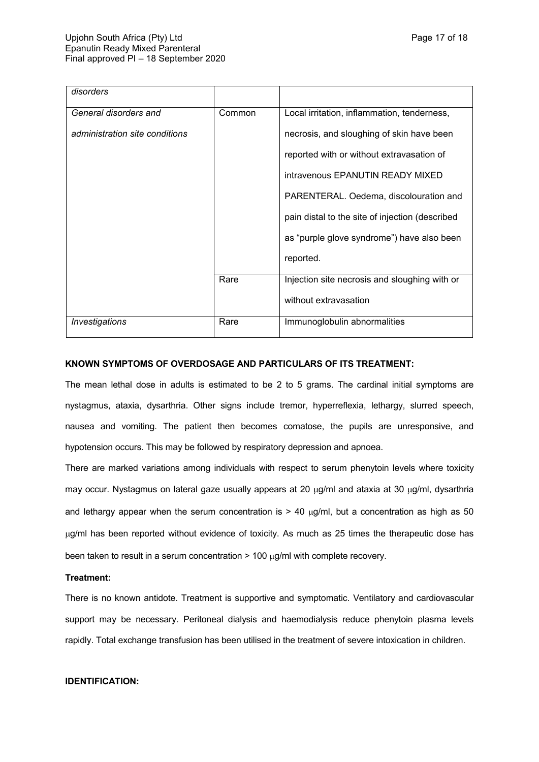| disorders                      |        |                                                 |
|--------------------------------|--------|-------------------------------------------------|
| General disorders and          | Common | Local irritation, inflammation, tenderness,     |
| administration site conditions |        | necrosis, and sloughing of skin have been       |
|                                |        | reported with or without extravasation of       |
|                                |        | intravenous EPANUTIN READY MIXED                |
|                                |        | PARENTERAL. Oedema, discolouration and          |
|                                |        | pain distal to the site of injection (described |
|                                |        | as "purple glove syndrome") have also been      |
|                                |        | reported.                                       |
|                                | Rare   | Injection site necrosis and sloughing with or   |
|                                |        | without extravasation                           |
| Investigations                 | Rare   | Immunoglobulin abnormalities                    |

# **KNOWN SYMPTOMS OF OVERDOSAGE AND PARTICULARS OF ITS TREATMENT:**

The mean lethal dose in adults is estimated to be 2 to 5 grams. The cardinal initial symptoms are nystagmus, ataxia, dysarthria. Other signs include tremor, hyperreflexia, lethargy, slurred speech, nausea and vomiting. The patient then becomes comatose, the pupils are unresponsive, and hypotension occurs. This may be followed by respiratory depression and apnoea.

There are marked variations among individuals with respect to serum phenytoin levels where toxicity may occur. Nystagmus on lateral gaze usually appears at 20  $\mu$ g/ml and ataxia at 30  $\mu$ g/ml, dysarthria and lethargy appear when the serum concentration is  $> 40 \mu g/ml$ , but a concentration as high as 50 ug/ml has been reported without evidence of toxicity. As much as 25 times the therapeutic dose has been taken to result in a serum concentration  $> 100 \mu g/ml$  with complete recovery.

## **Treatment:**

There is no known antidote. Treatment is supportive and symptomatic. Ventilatory and cardiovascular support may be necessary. Peritoneal dialysis and haemodialysis reduce phenytoin plasma levels rapidly. Total exchange transfusion has been utilised in the treatment of severe intoxication in children.

## **IDENTIFICATION:**